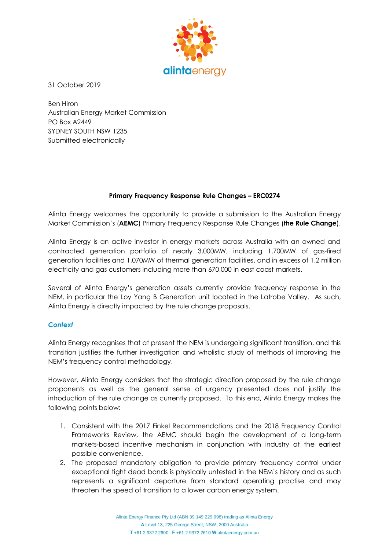

31 October 2019

Ben Hiron Australian Energy Market Commission PO Box A2449 SYDNEY SOUTH NSW 1235 Submitted electronically

# **Primary Frequency Response Rule Changes – ERC0274**

Alinta Energy welcomes the opportunity to provide a submission to the Australian Energy Market Commission's (**AEMC**) Primary Frequency Response Rule Changes (**the Rule Change**).

Alinta Energy is an active investor in energy markets across Australia with an owned and contracted generation portfolio of nearly 3,000MW, including 1,700MW of gas-fired generation facilities and 1,070MW of thermal generation facilities, and in excess of 1.2 million electricity and gas customers including more than 670,000 in east coast markets.

Several of Alinta Energy's generation assets currently provide frequency response in the NEM, in particular the Loy Yang B Generation unit located in the Latrobe Valley. As such, Alinta Energy is directly impacted by the rule change proposals.

# *Context*

Alinta Energy recognises that at present the NEM is undergoing significant transition, and this transition justifies the further investigation and wholistic study of methods of improving the NEM's frequency control methodology.

However, Alinta Energy considers that the strategic direction proposed by the rule change proponents as well as the general sense of urgency presented does not justify the introduction of the rule change as currently proposed. To this end, Alinta Energy makes the following points below:

- 1. Consistent with the 2017 Finkel Recommendations and the 2018 Frequency Control Frameworks Review, the AEMC should begin the development of a long-term markets-based incentive mechanism in conjunction with industry at the earliest possible convenience.
- 2. The proposed mandatory obligation to provide primary frequency control under exceptional tight dead bands is physically untested in the NEM's history and as such represents a significant departure from standard operating practise and may threaten the speed of transition to a lower carbon energy system.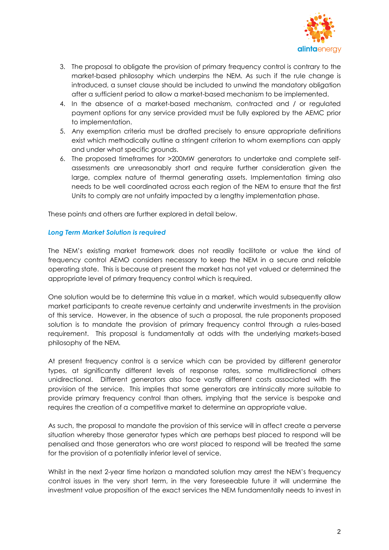

- 3. The proposal to obligate the provision of primary frequency control is contrary to the market-based philosophy which underpins the NEM. As such if the rule change is introduced, a sunset clause should be included to unwind the mandatory obligation after a sufficient period to allow a market-based mechanism to be implemented.
- 4. In the absence of a market-based mechanism, contracted and / or regulated payment options for any service provided must be fully explored by the AEMC prior to implementation.
- 5. Any exemption criteria must be drafted precisely to ensure appropriate definitions exist which methodically outline a stringent criterion to whom exemptions can apply and under what specific grounds.
- 6. The proposed timeframes for >200MW generators to undertake and complete selfassessments are unreasonably short and require further consideration given the large, complex nature of thermal generating assets. Implementation timing also needs to be well coordinated across each region of the NEM to ensure that the first Units to comply are not unfairly impacted by a lengthy implementation phase.

These points and others are further explored in detail below.

### *Long Term Market Solution is required*

The NEM's existing market framework does not readily facilitate or value the kind of frequency control AEMO considers necessary to keep the NEM in a secure and reliable operating state. This is because at present the market has not yet valued or determined the appropriate level of primary frequency control which is required.

One solution would be to determine this value in a market, which would subsequently allow market participants to create revenue certainty and underwrite investments in the provision of this service. However, in the absence of such a proposal, the rule proponents proposed solution is to mandate the provision of primary frequency control through a rules-based requirement. This proposal is fundamentally at odds with the underlying markets-based philosophy of the NEM.

At present frequency control is a service which can be provided by different generator types, at significantly different levels of response rates, some multidirectional others unidirectional. Different generators also face vastly different costs associated with the provision of the service. This implies that some generators are intrinsically more suitable to provide primary frequency control than others, implying that the service is bespoke and requires the creation of a competitive market to determine an appropriate value.

As such, the proposal to mandate the provision of this service will in affect create a perverse situation whereby those generator types which are perhaps best placed to respond will be penalised and those generators who are worst placed to respond will be treated the same for the provision of a potentially inferior level of service.

Whilst in the next 2-year time horizon a mandated solution may arrest the NEM's frequency control issues in the very short term, in the very foreseeable future it will undermine the investment value proposition of the exact services the NEM fundamentally needs to invest in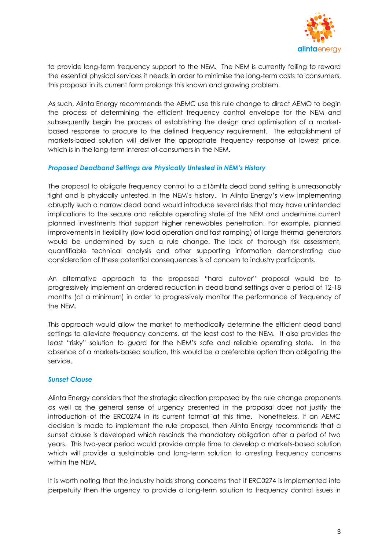

to provide long-term frequency support to the NEM. The NEM is currently failing to reward the essential physical services it needs in order to minimise the long-term costs to consumers, this proposal in its current form prolongs this known and growing problem.

As such, Alinta Energy recommends the AEMC use this rule change to direct AEMO to begin the process of determining the efficient frequency control envelope for the NEM and subsequently begin the process of establishing the design and optimisation of a marketbased response to procure to the defined frequency requirement. The establishment of markets-based solution will deliver the appropriate frequency response at lowest price, which is in the long-term interest of consumers in the NEM.

## *Proposed Deadband Settings are Physically Untested in NEM's History*

The proposal to obligate frequency control to a ±15mHz dead band setting is unreasonably tight and is physically untested in the NEM's history. In Alinta Energy's view implementing abruptly such a narrow dead band would introduce several risks that may have unintended implications to the secure and reliable operating state of the NEM and undermine current planned investments that support higher renewables penetration. For example, planned improvements in flexibility (low load operation and fast ramping) of large thermal generators would be undermined by such a rule change. The lack of thorough risk assessment, quantifiable technical analysis and other supporting information demonstrating due consideration of these potential consequences is of concern to industry participants.

An alternative approach to the proposed "hard cutover" proposal would be to progressively implement an ordered reduction in dead band settings over a period of 12-18 months (at a minimum) in order to progressively monitor the performance of frequency of the NEM.

This approach would allow the market to methodically determine the efficient dead band settings to alleviate frequency concerns, at the least cost to the NEM. It also provides the least "risky" solution to guard for the NEM's safe and reliable operating state. In the absence of a markets-based solution, this would be a preferable option than obligating the service.

#### *Sunset Clause*

Alinta Energy considers that the strategic direction proposed by the rule change proponents as well as the general sense of urgency presented in the proposal does not justify the introduction of the ERC0274 in its current format at this time. Nonetheless, if an AEMC decision is made to implement the rule proposal, then Alinta Energy recommends that a sunset clause is developed which rescinds the mandatory obligation after a period of two years. This two-year period would provide ample time to develop a markets-based solution which will provide a sustainable and long-term solution to arresting frequency concerns within the NEM.

It is worth noting that the industry holds strong concerns that if ERC0274 is implemented into perpetuity then the urgency to provide a long-term solution to frequency control issues in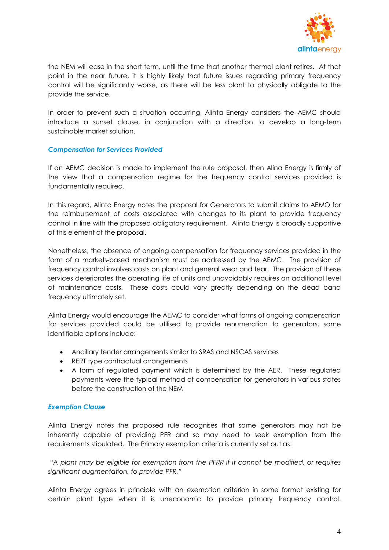

the NEM will ease in the short term, until the time that another thermal plant retires. At that point in the near future, it is highly likely that future issues regarding primary frequency control will be significantly worse, as there will be less plant to physically obligate to the provide the service.

In order to prevent such a situation occurring, Alinta Energy considers the AEMC should introduce a sunset clause, in conjunction with a direction to develop a long-term sustainable market solution.

### *Compensation for Services Provided*

If an AEMC decision is made to implement the rule proposal, then Alina Energy is firmly of the view that a compensation regime for the frequency control services provided is fundamentally required.

In this regard, Alinta Energy notes the proposal for Generators to submit claims to AEMO for the reimbursement of costs associated with changes to its plant to provide frequency control in line with the proposed obligatory requirement. Alinta Energy is broadly supportive of this element of the proposal.

Nonetheless, the absence of ongoing compensation for frequency services provided in the form of a markets-based mechanism must be addressed by the AEMC. The provision of frequency control involves costs on plant and general wear and tear. The provision of these services deteriorates the operating life of units and unavoidably requires an additional level of maintenance costs. These costs could vary greatly depending on the dead band frequency ultimately set.

Alinta Energy would encourage the AEMC to consider what forms of ongoing compensation for services provided could be utilised to provide renumeration to generators, some identifiable options include:

- Ancillary tender arrangements similar to SRAS and NSCAS services
- RERT type contractual arrangements
- A form of regulated payment which is determined by the AER. These regulated payments were the typical method of compensation for generators in various states before the construction of the NEM

## *Exemption Clause*

Alinta Energy notes the proposed rule recognises that some generators may not be inherently capable of providing PFR and so may need to seek exemption from the requirements stipulated. The Primary exemption criteria is currently set out as:

*"A plant may be eligible for exemption from the PFRR if it cannot be modified, or requires significant augmentation, to provide PFR."*

Alinta Energy agrees in principle with an exemption criterion in some format existing for certain plant type when it is uneconomic to provide primary frequency control.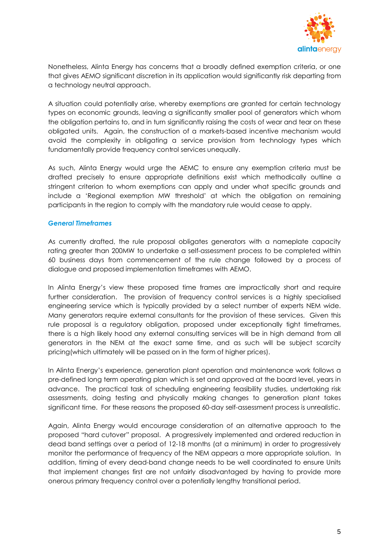

Nonetheless, Alinta Energy has concerns that a broadly defined exemption criteria, or one that gives AEMO significant discretion in its application would significantly risk departing from a technology neutral approach.

A situation could potentially arise, whereby exemptions are granted for certain technology types on economic grounds, leaving a significantly smaller pool of generators which whom the obligation pertains to, and in turn significantly raising the costs of wear and tear on these obligated units. Again, the construction of a markets-based incentive mechanism would avoid the complexity in obligating a service provision from technology types which fundamentally provide frequency control services unequally.

As such, Alinta Energy would urge the AEMC to ensure any exemption criteria must be drafted precisely to ensure appropriate definitions exist which methodically outline a stringent criterion to whom exemptions can apply and under what specific grounds and include a 'Regional exemption MW threshold' at which the obligation on remaining participants in the region to comply with the mandatory rule would cease to apply.

### *General Timeframes*

As currently drafted, the rule proposal obligates generators with a nameplate capacity rating greater than 200MW to undertake a self-assessment process to be completed within 60 business days from commencement of the rule change followed by a process of dialogue and proposed implementation timeframes with AEMO.

In Alinta Energy's view these proposed time frames are impractically short and require further consideration. The provision of frequency control services is a highly specialised engineering service which is typically provided by a select number of experts NEM wide. Many generators require external consultants for the provision of these services. Given this rule proposal is a regulatory obligation, proposed under exceptionally tight timeframes, there is a high likely hood any external consulting services will be in high demand from all generators in the NEM at the exact same time, and as such will be subject scarcity pricing(which ultimately will be passed on in the form of higher prices).

In Alinta Energy's experience, generation plant operation and maintenance work follows a pre-defined long term operating plan which is set and approved at the board level, years in advance. The practical task of scheduling engineering feasibility studies, undertaking risk assessments, doing testing and physically making changes to generation plant takes significant time. For these reasons the proposed 60-day self-assessment process is unrealistic.

Again, Alinta Energy would encourage consideration of an alternative approach to the proposed "hard cutover" proposal. A progressively implemented and ordered reduction in dead band settings over a period of 12-18 months (at a minimum) in order to progressively monitor the performance of frequency of the NEM appears a more appropriate solution. In addition, timing of every dead-band change needs to be well coordinated to ensure Units that implement changes first are not unfairly disadvantaged by having to provide more onerous primary frequency control over a potentially lengthy transitional period.